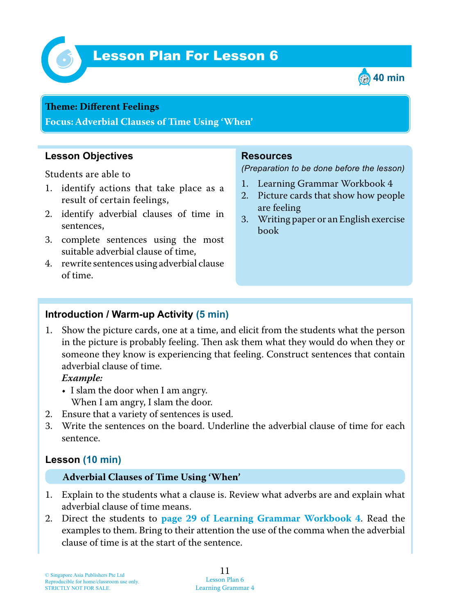

# *6* Lesson Plan For Lesson 6



#### **Teme : Different Feelings**

**Focus: Adverbial Clauses of Time Using 'When'**

## **Lesson Objectives**

Students are able to

- 1. identify actions that take place as a result of certain feelings,
- 2. identify adverbial clauses of time in sentences,
- 3. complete sentences using the most suitable adverbial clause of time,
- 4. rewrite sentences using adverbial clause of time.

### **Resources**

*(Preparation to be done before the lesson)*

- 1. Learning Grammar Workbook 4
- 2. Picture cards that show how people are feeling
- 3. Writing paper or an English exercise book

#### **Introduction / Warm-up Activity (5 min)**

1. Show the picture cards, one at a time, and elicit from the students what the person in the picture is probably feeling. Then ask them what they would do when they or someone they know is experiencing that feeling. Construct sentences that contain adverbial clause of time.

 *Example:*

- I slam the door when I am angry. When I am angry, I slam the door.
- 2. Ensure that a variety of sentences is used.
- 3. Write the sentences on the board. Underline the adverbial clause of time for each sentence.

## **Lesson (10 min)**

#### **Adverbial Clauses of Time Using 'When'**

- 1. Explain to the students what a clause is. Review what adverbs are and explain what adverbial clause of time means.
- 2. Direct the students to **page 29 of Learning Grammar Workbook 4** . Read the examples to them. Bring to their attention the use of the comma when the adverbial clause of time is at the start of the sentence.